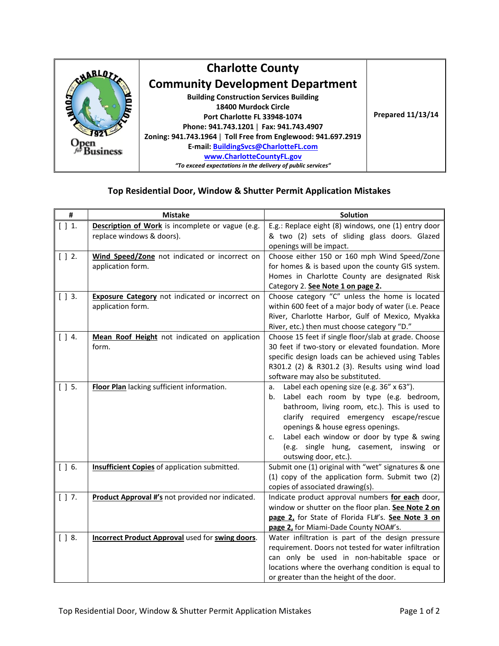

## **Top Residential Door, Window & Shutter Permit Application Mistakes**

| #          | <b>Mistake</b>                                                                | <b>Solution</b>                                                                                                                                                                                                                                                                                                                                          |
|------------|-------------------------------------------------------------------------------|----------------------------------------------------------------------------------------------------------------------------------------------------------------------------------------------------------------------------------------------------------------------------------------------------------------------------------------------------------|
| [ ] 1.     | Description of Work is incomplete or vague (e.g.<br>replace windows & doors). | E.g.: Replace eight (8) windows, one (1) entry door<br>& two (2) sets of sliding glass doors. Glazed<br>openings will be impact.                                                                                                                                                                                                                         |
| $[$ $]$ 2. | Wind Speed/Zone not indicated or incorrect on<br>application form.            | Choose either 150 or 160 mph Wind Speed/Zone<br>for homes & is based upon the county GIS system.<br>Homes in Charlotte County are designated Risk<br>Category 2. See Note 1 on page 2.                                                                                                                                                                   |
| $[$ $]$ 3. | <b>Exposure Category</b> not indicated or incorrect on<br>application form.   | Choose category "C" unless the home is located<br>within 600 feet of a major body of water (i.e. Peace<br>River, Charlotte Harbor, Gulf of Mexico, Myakka<br>River, etc.) then must choose category "D."                                                                                                                                                 |
| $[$ $]$ 4. | Mean Roof Height not indicated on application<br>form.                        | Choose 15 feet if single floor/slab at grade. Choose<br>30 feet if two-story or elevated foundation. More<br>specific design loads can be achieved using Tables<br>R301.2 (2) & R301.2 (3). Results using wind load<br>software may also be substituted.                                                                                                 |
| $[$ $]$ 5. | Floor Plan lacking sufficient information.                                    | Label each opening size (e.g. 36" x 63").<br>a.<br>Label each room by type (e.g. bedroom,<br>b.<br>bathroom, living room, etc.). This is used to<br>clarify required emergency escape/rescue<br>openings & house egress openings.<br>Label each window or door by type & swing<br>c.<br>(e.g. single hung, casement, inswing or<br>outswing door, etc.). |
| $[$ $]$ 6. | <b>Insufficient Copies</b> of application submitted.                          | Submit one (1) original with "wet" signatures & one<br>(1) copy of the application form. Submit two (2)<br>copies of associated drawing(s).                                                                                                                                                                                                              |
| $[$ $]$ 7. | Product Approval #'s not provided nor indicated.                              | Indicate product approval numbers for each door,<br>window or shutter on the floor plan. See Note 2 on<br>page 2, for State of Florida FL#'s. See Note 3 on<br>page 2, for Miami-Dade County NOA#'s.                                                                                                                                                     |
| $[$ $]$ 8. | <b>Incorrect Product Approval used for swing doors.</b>                       | Water infiltration is part of the design pressure<br>requirement. Doors not tested for water infiltration<br>can only be used in non-habitable space or<br>locations where the overhang condition is equal to<br>or greater than the height of the door.                                                                                                 |